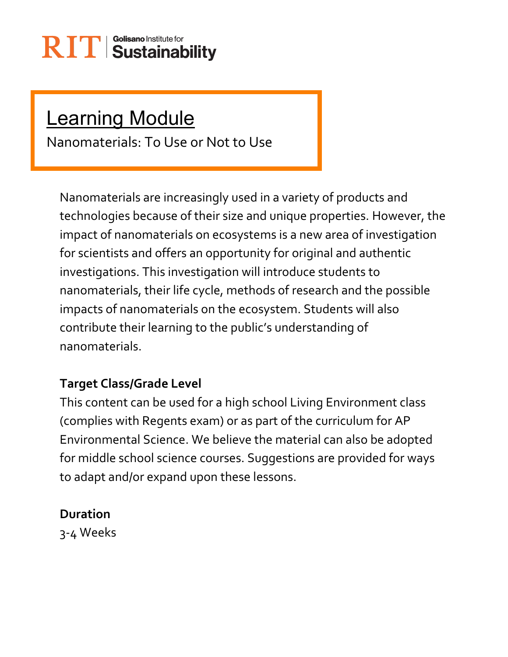### **Learning Module**

Nanomaterials: To Use or Not to Use

Nanomaterials are increasingly used in a variety of products and technologies because of their size and unique properties. However, the impact of nanomaterials on ecosystems is a new area of investigation for scientists and offers an opportunity for original and authentic investigations. This investigation will introduce students to nanomaterials, their life cycle, methods of research and the possible impacts of nanomaterials on the ecosystem. Students will also contribute their learning to the public's understanding of nanomaterials.

### **Target Class/Grade Level**

This content can be used for a high school Living Environment class (complies with Regents exam) or as part of the curriculum for AP Environmental Science. We believe the material can also be adopted for middle school science courses. Suggestions are provided for ways to adapt and/or expand upon these lessons.

#### **Duration**

3-4 Weeks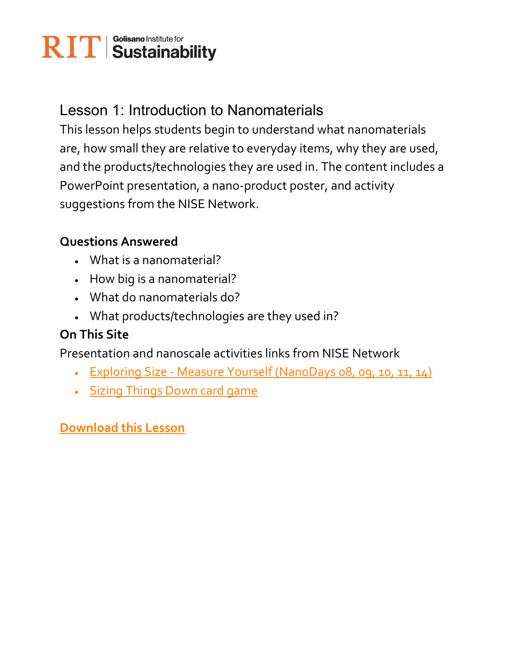### Lesson 1: Introduction to Nanomaterials

This lesson helps students begin to understand what nanomaterials are, how small they are relative to everyday items, why they are used, and the products/technologies they are used in. The content includes a PowerPoint presentation, a nano-product poster, and activity suggestions from the NISE Network.

#### **Questions Answered**

- What is a nanomaterial?
- How big is a nanomaterial?
- What do nanomaterials do?
- What products/technologies are they used in?

### **On This Site**

Presentation and nanoscale activities links from NISE Network

- Exploring Size Measure Yourself (NanoDays 08, 09, 10, 11, 14)
- Sizing Things Down card game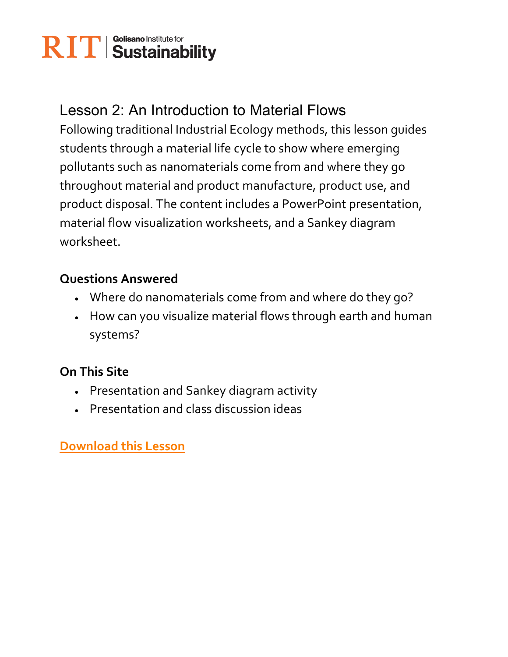### Lesson 2: An Introduction to Material Flows

Following traditional Industrial Ecology methods, this lesson guides students through a material life cycle to show where emerging pollutants such as nanomaterials come from and where they go throughout material and product manufacture, product use, and product disposal. The content includes a PowerPoint presentation, material flow visualization worksheets, and a Sankey diagram worksheet.

#### **Questions Answered**

- Where do nanomaterials come from and where do they go?
- How can you visualize material flows through earth and human systems?

### **On This Site**

- Presentation and Sankey diagram activity
- Presentation and class discussion ideas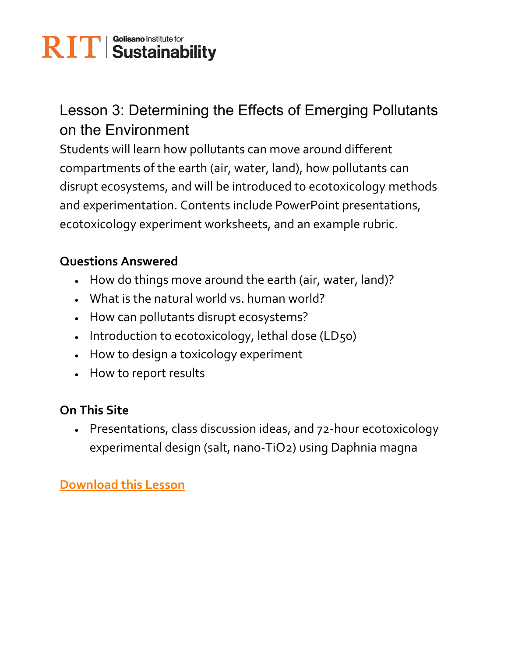### Lesson 3: Determining the Effects of Emerging Pollutants on the Environment

Students will learn how pollutants can move around different compartments of the earth (air, water, land), how pollutants can disrupt ecosystems, and will be introduced to ecotoxicology methods and experimentation. Contents include PowerPoint presentations, ecotoxicology experiment worksheets, and an example rubric.

### **Questions Answered**

- How do things move around the earth (air, water, land)?
- What is the natural world vs. human world?
- How can pollutants disrupt ecosystems?
- Introduction to ecotoxicology, lethal dose (LD50)
- How to design a toxicology experiment
- How to report results

### **On This Site**

 Presentations, class discussion ideas, and 72-hour ecotoxicology experimental design (salt, nano-TiO2) using Daphnia magna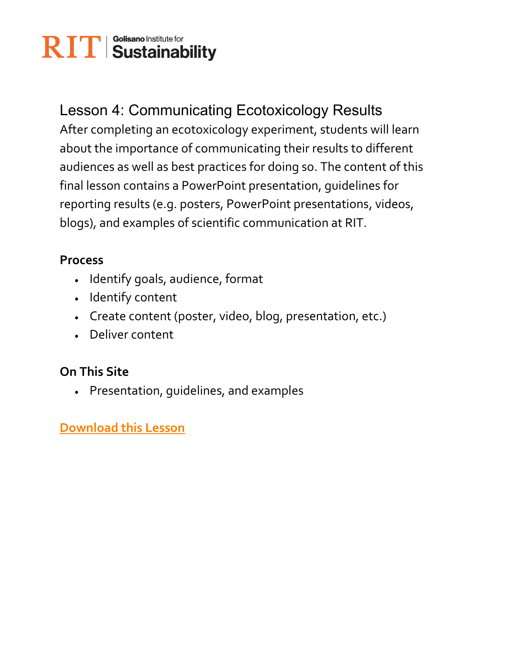### Lesson 4: Communicating Ecotoxicology Results

After completing an ecotoxicology experiment, students will learn about the importance of communicating their results to different audiences as well as best practices for doing so. The content of this final lesson contains a PowerPoint presentation, guidelines for reporting results (e.g. posters, PowerPoint presentations, videos, blogs), and examples of scientific communication at RIT.

#### **Process**

- Identify goals, audience, format
- Identify content
- Create content (poster, video, blog, presentation, etc.)
- Deliver content

### **On This Site**

Presentation, guidelines, and examples